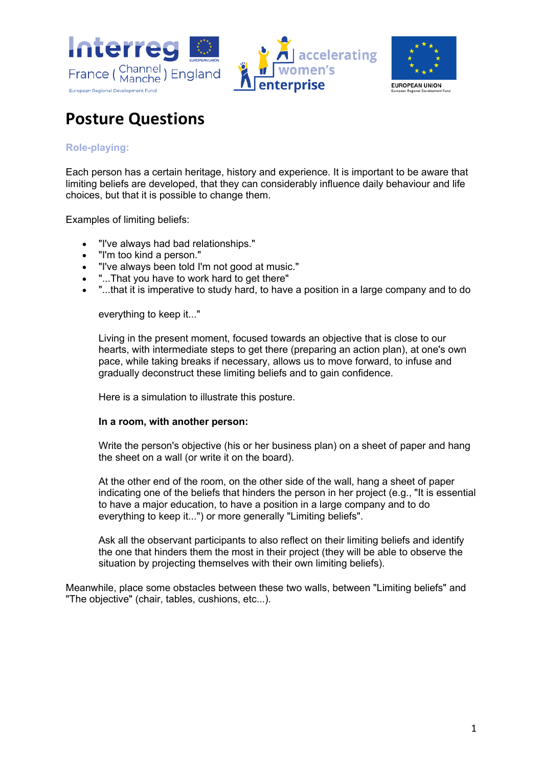





# **Posture Questions**

### **Role-playing:**

Each person has a certain heritage, history and experience. It is important to be aware that limiting beliefs are developed, that they can considerably influence daily behaviour and life choices, but that it is possible to change them.

Examples of limiting beliefs:

- "I've always had bad relationships."
- "I'm too kind a person."
- "I've always been told I'm not good at music."
- "...That you have to work hard to get there"
- "...that it is imperative to study hard, to have a position in a large company and to do

everything to keep it..."

Living in the present moment, focused towards an objective that is close to our hearts, with intermediate steps to get there (preparing an action plan), at one's own pace, while taking breaks if necessary, allows us to move forward, to infuse and gradually deconstruct these limiting beliefs and to gain confidence.

Here is a simulation to illustrate this posture.

#### **In a room, with another person:**

Write the person's objective (his or her business plan) on a sheet of paper and hang the sheet on a wall (or write it on the board).

At the other end of the room, on the other side of the wall, hang a sheet of paper indicating one of the beliefs that hinders the person in her project (e.g., "It is essential to have a major education, to have a position in a large company and to do everything to keep it...") or more generally "Limiting beliefs".

Ask all the observant participants to also reflect on their limiting beliefs and identify the one that hinders them the most in their project (they will be able to observe the situation by projecting themselves with their own limiting beliefs).

Meanwhile, place some obstacles between these two walls, between "Limiting beliefs" and "The objective" (chair, tables, cushions, etc...).